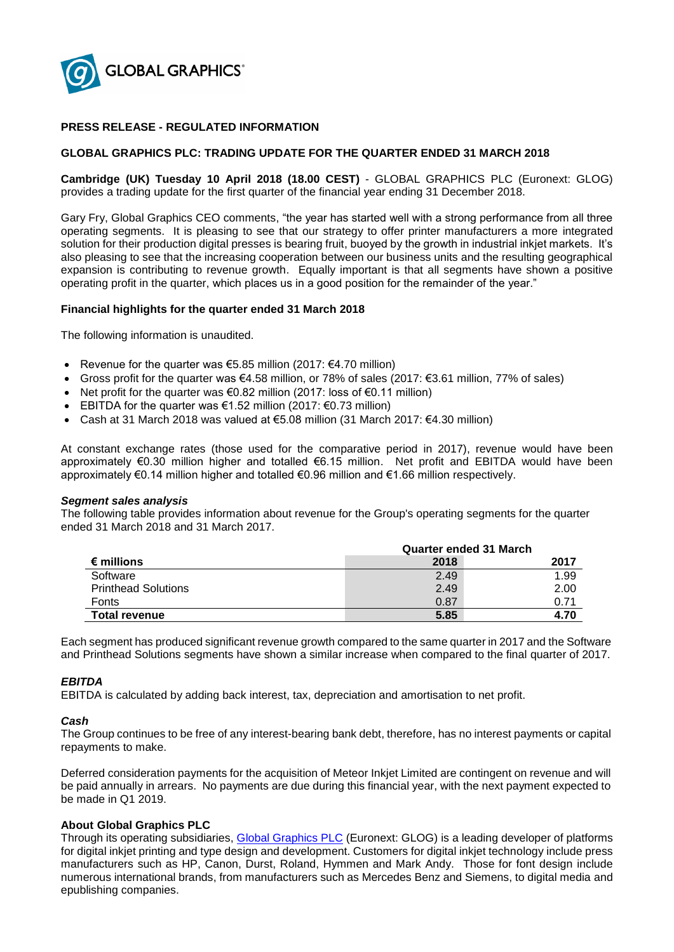

# **PRESS RELEASE - REGULATED INFORMATION**

## **GLOBAL GRAPHICS PLC: TRADING UPDATE FOR THE QUARTER ENDED 31 MARCH 2018**

**Cambridge (UK) Tuesday 10 April 2018 (18.00 CEST)** - GLOBAL GRAPHICS PLC (Euronext: GLOG) provides a trading update for the first quarter of the financial year ending 31 December 2018.

Gary Fry, Global Graphics CEO comments, "the year has started well with a strong performance from all three operating segments. It is pleasing to see that our strategy to offer printer manufacturers a more integrated solution for their production digital presses is bearing fruit, buoyed by the growth in industrial inkiet markets. It's also pleasing to see that the increasing cooperation between our business units and the resulting geographical expansion is contributing to revenue growth. Equally important is that all segments have shown a positive operating profit in the quarter, which places us in a good position for the remainder of the year."

## **Financial highlights for the quarter ended 31 March 2018**

The following information is unaudited.

- Revenue for the quarter was  $65.85$  million (2017:  $64.70$  million)
- Gross profit for the quarter was €4.58 million, or 78% of sales (2017: €3.61 million, 77% of sales)
- Net profit for the quarter was  $\epsilon$ 0.82 million (2017: loss of  $\epsilon$ 0.11 million)
- EBITDA for the quarter was  $\epsilon$ 1.52 million (2017:  $\epsilon$ 0.73 million)
- Cash at 31 March 2018 was valued at €5.08 million (31 March 2017: €4.30 million)

At constant exchange rates (those used for the comparative period in 2017), revenue would have been approximately €0.30 million higher and totalled €6.15 million. Net profit and EBITDA would have been approximately €0.14 million higher and totalled €0.96 million and €1.66 million respectively.

#### *Segment sales analysis*

The following table provides information about revenue for the Group's operating segments for the quarter ended 31 March 2018 and 31 March 2017.

|                            | <b>Quarter ended 31 March</b> |      |
|----------------------------|-------------------------------|------|
| € millions                 | 2018                          | 2017 |
| Software                   | 2.49                          | 1.99 |
| <b>Printhead Solutions</b> | 2.49                          | 2.00 |
| Fonts                      | 0.87                          | 0.71 |
| <b>Total revenue</b>       | 5.85                          | 4.70 |

Each segment has produced significant revenue growth compared to the same quarter in 2017 and the Software and Printhead Solutions segments have shown a similar increase when compared to the final quarter of 2017.

## *EBITDA*

EBITDA is calculated by adding back interest, tax, depreciation and amortisation to net profit.

#### *Cash*

The Group continues to be free of any interest-bearing bank debt, therefore, has no interest payments or capital repayments to make.

Deferred consideration payments for the acquisition of Meteor Inkjet Limited are contingent on revenue and will be paid annually in arrears. No payments are due during this financial year, with the next payment expected to be made in Q1 2019.

## **About Global Graphics PLC**

Through its operating subsidiaries, [Global Graphics PLC](http://www.globalgraphics.com/) (Euronext: GLOG) is a leading developer of platforms for digital inkjet printing and type design and development. Customers for digital inkjet technology include press manufacturers such as HP, Canon, Durst, Roland, Hymmen and Mark Andy. Those for font design include numerous international brands, from manufacturers such as Mercedes Benz and Siemens, to digital media and epublishing companies.